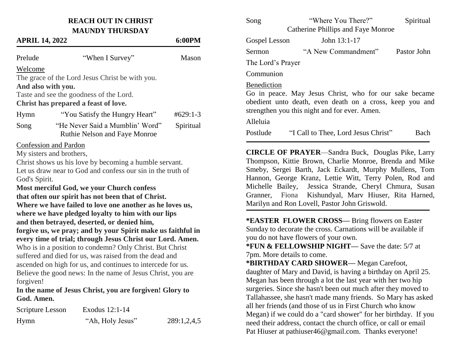## **REACH OUT IN CHRIST MAUNDY THURSDAY**

| <b>APRIL 14, 2022</b> | 6:00PM                                                                                                                                                                            |            |
|-----------------------|-----------------------------------------------------------------------------------------------------------------------------------------------------------------------------------|------------|
| Prelude               | "When I Survey"                                                                                                                                                                   | Mason      |
| Welcome               |                                                                                                                                                                                   |            |
|                       | The grace of the Lord Jesus Christ be with you.                                                                                                                                   |            |
| And also with you.    |                                                                                                                                                                                   |            |
|                       | Taste and see the goodness of the Lord.                                                                                                                                           |            |
|                       | Christ has prepared a feast of love.                                                                                                                                              |            |
| Hymn                  | "You Satisfy the Hungry Heart"                                                                                                                                                    | $#629:1-3$ |
| Song                  | "He Never Said a Mumblin' Word"<br><b>Ruthie Nelson and Faye Monroe</b>                                                                                                           | Spiritual  |
| God's Spirit.         | <b>Confession and Pardon</b><br>My sisters and brothers,<br>Christ shows us his love by becoming a humble servant.<br>Let us draw near to God and confess our sin in the truth of |            |
|                       | Most merciful God, we your Church confess                                                                                                                                         |            |
|                       | that often our spirit has not been that of Christ.                                                                                                                                |            |
|                       | Where we have failed to love one another as he loves us,                                                                                                                          |            |
|                       | where we have pledged loyalty to him with our lips                                                                                                                                |            |
|                       | and then betrayed, deserted, or denied him,                                                                                                                                       |            |
|                       | forgive us, we pray; and by your Spirit make us faithful in                                                                                                                       |            |
|                       | every time of trial; through Jesus Christ our Lord. Amen.                                                                                                                         |            |
|                       | Who is in a position to condemn? Only Christ. But Christ                                                                                                                          |            |
|                       | suffered and died for us, was raised from the dead and                                                                                                                            |            |
|                       | ascended on high for us, and continues to intercede for us.                                                                                                                       |            |
|                       | Believe the good news: In the name of Jesus Christ, you are                                                                                                                       |            |
| forgiven!             |                                                                                                                                                                                   |            |

**In the name of Jesus Christ, you are forgiven! Glory to God. Amen.**

| Scripture Lesson | Exodus 12:1-14   |             |
|------------------|------------------|-------------|
| Hymn             | "Ah, Holy Jesus" | 289:1,2,4,5 |

| Song              | "Where You There?"                                                                                                                                                                                                                                                                                                                                                                                          | Spiritual   |
|-------------------|-------------------------------------------------------------------------------------------------------------------------------------------------------------------------------------------------------------------------------------------------------------------------------------------------------------------------------------------------------------------------------------------------------------|-------------|
|                   | Catherine Phillips and Faye Monroe                                                                                                                                                                                                                                                                                                                                                                          |             |
| Gospel Lesson     | John 13:1-17                                                                                                                                                                                                                                                                                                                                                                                                |             |
| Sermon            | "A New Commandment"                                                                                                                                                                                                                                                                                                                                                                                         | Pastor John |
| The Lord's Prayer |                                                                                                                                                                                                                                                                                                                                                                                                             |             |
| Communion         |                                                                                                                                                                                                                                                                                                                                                                                                             |             |
| Benediction       | Go in peace. May Jesus Christ, who for our sake became<br>obedient unto death, even death on a cross, keep you and<br>strengthen you this night and for ever. Amen.                                                                                                                                                                                                                                         |             |
| Alleluia          |                                                                                                                                                                                                                                                                                                                                                                                                             |             |
| Postlude          | "I Call to Thee, Lord Jesus Christ"                                                                                                                                                                                                                                                                                                                                                                         | Bach        |
|                   | <b>CIRCLE OF PRAYER—Sandra Buck, Douglas Pike, Larry</b><br>Thompson, Kittie Brown, Charlie Monroe, Brenda and Mike<br>Smeby, Sergei Barth, Jack Eckardt, Murphy Mullens, Tom<br>Hannon, George Kranz, Lettie Witt, Terry Polen, Rod and<br>Michelle Bailey, Jessica Strande, Cheryl Chmura, Susan<br>Granner, Fiona Kishundyal, Marv Hiuser, Rita Harned,<br>Marilyn and Ron Lovell, Pastor John Griswold. |             |
|                   | *EASTER FLOWER CROSS-Bring flowers on Easter<br>Sunday to decorate the cross. Carnations will be available if<br>you do not have flowers of your own.                                                                                                                                                                                                                                                       |             |

**\*FUN & FELLOWSHIP NIGHT—** Save the date: 5/7 at 7pm. More details to come.

**\*BIRTHDAY CARD SHOWER—** Megan Carefoot, daughter of Mary and David, is having a birthday on April 25. Megan has been through a lot the last year with her two hip surgeries. Since she hasn't been out much after they moved to Tallahassee, she hasn't made many friends. So Mary has asked all her friends (and those of us in First Church who know Megan) if we could do a "card shower" for her birthday. If you need their address, contact the church office, or call or email Pat Hiuser at pathiuser46@gmail.com. Thanks everyone!